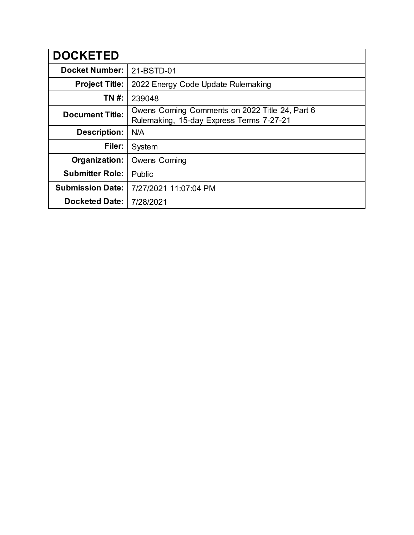| <b>DOCKETED</b>         |                                                                                             |
|-------------------------|---------------------------------------------------------------------------------------------|
| <b>Docket Number:</b>   | 21-BSTD-01                                                                                  |
| <b>Project Title:</b>   | 2022 Energy Code Update Rulemaking                                                          |
| TN #:                   | 239048                                                                                      |
| <b>Document Title:</b>  | Owens Corning Comments on 2022 Title 24, Part 6<br>Rulemaking, 15-day Express Terms 7-27-21 |
| <b>Description:</b>     | N/A                                                                                         |
| Filer:                  | System                                                                                      |
| Organization:           | <b>Owens Corning</b>                                                                        |
| <b>Submitter Role:</b>  | Public                                                                                      |
| <b>Submission Date:</b> | 7/27/2021 11:07:04 PM                                                                       |
| <b>Docketed Date:</b>   | 7/28/2021                                                                                   |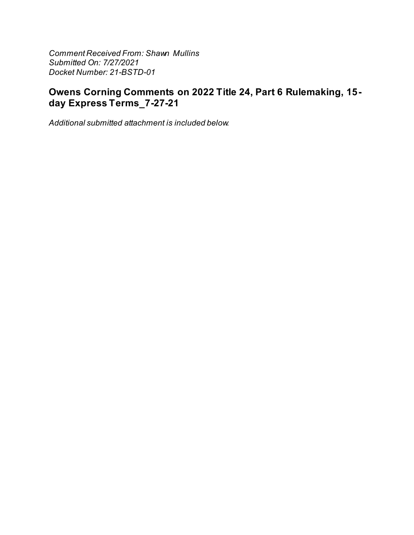**Comment Received From: Shawn Mullins** Submitted On: 7/27/2021 Docket Number: 21-BSTD-01

## Owens Corning Comments on 2022 Title 24, Part 6 Rulemaking, 15day Express Terms\_7-27-21

Additional submitted attachment is included below.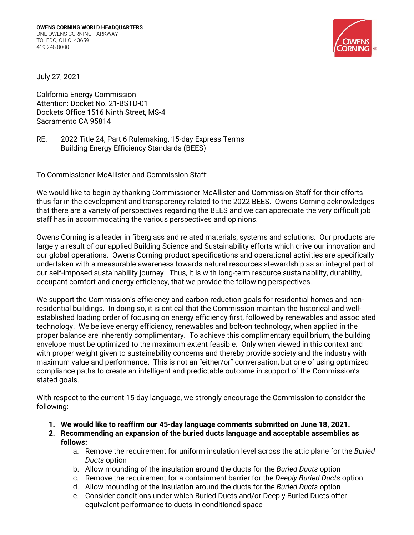

July 27, 2021

California Energy Commission Attention: Docket No. 21-BSTD-01 Dockets Office 1516 Ninth Street, MS-4 Sacramento CA 95814

RE: 2022 Title 24, Part 6 Rulemaking, 15-day Express Terms Building Energy Efficiency Standards (BEES)

To Commissioner McAllister and Commission Staff:

We would like to begin by thanking Commissioner McAllister and Commission Staff for their efforts thus far in the development and transparency related to the 2022 BEES. Owens Corning acknowledges that there are a variety of perspectives regarding the BEES and we can appreciate the very difficult job staff has in accommodating the various perspectives and opinions.

Owens Corning is a leader in fiberglass and related materials, systems and solutions. Our products are largely a result of our applied Building Science and Sustainability efforts which drive our innovation and our global operations. Owens Corning product specifications and operational activities are specifically undertaken with a measurable awareness towards natural resources stewardship as an integral part of our self-imposed sustainability journey. Thus, it is with long-term resource sustainability, durability, occupant comfort and energy efficiency, that we provide the following perspectives.

We support the Commission's efficiency and carbon reduction goals for residential homes and nonresidential buildings. In doing so, it is critical that the Commission maintain the historical and wellestablished loading order of focusing on energy efficiency first, followed by renewables and associated technology. We believe energy efficiency, renewables and bolt-on technology, when applied in the proper balance are inherently complimentary. To achieve this complimentary equilibrium, the building envelope must be optimized to the maximum extent feasible. Only when viewed in this context and with proper weight given to sustainability concerns and thereby provide society and the industry with maximum value and performance. This is not an "either/or" conversation, but one of using optimized compliance paths to create an intelligent and predictable outcome in support of the Commission's stated goals.

With respect to the current 15-day language, we strongly encourage the Commission to consider the following:

- **1. We would like to reaffirm our 45-day language comments submitted on June 18, 2021.**
- **2. Recommending an expansion of the buried ducts language and acceptable assemblies as follows:** 
	- a. Remove the requirement for uniform insulation level across the attic plane for the *Buried Ducts* option
	- b. Allow mounding of the insulation around the ducts for the *Buried Ducts* option
	- c. Remove the requirement for a containment barrier for the *Deeply Buried Ducts* option
	- d. Allow mounding of the insulation around the ducts for the *Buried Ducts* option
	- e. Consider conditions under which Buried Ducts and/or Deeply Buried Ducts offer equivalent performance to ducts in conditioned space